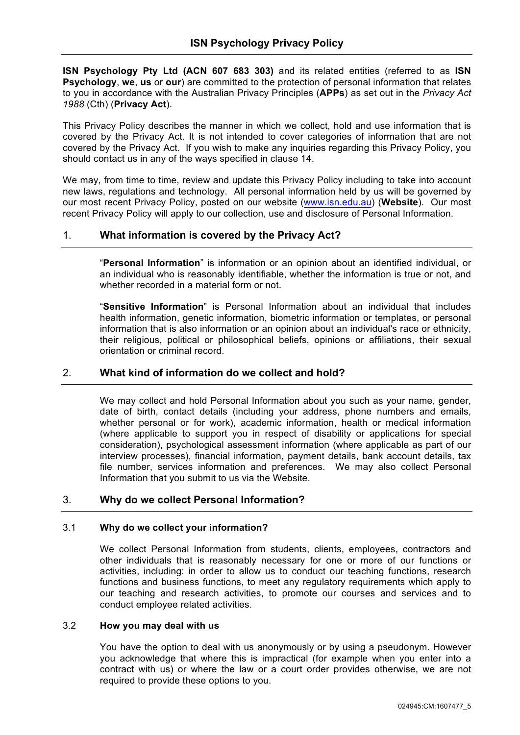**ISN Psychology Pty Ltd (ACN 607 683 303)** and its related entities (referred to as **ISN Psychology**, **we**, **us** or **our**) are committed to the protection of personal information that relates to you in accordance with the Australian Privacy Principles (**APPs**) as set out in the *Privacy Act 1988* (Cth) (**Privacy Act**).

This Privacy Policy describes the manner in which we collect, hold and use information that is covered by the Privacy Act. It is not intended to cover categories of information that are not covered by the Privacy Act. If you wish to make any inquiries regarding this Privacy Policy, you should contact us in any of the ways specified in clause 14.

We may, from time to time, review and update this Privacy Policy including to take into account new laws, regulations and technology. All personal information held by us will be governed by our most recent Privacy Policy, posted on our website (www.isn.edu.au) (**Website**). Our most recent Privacy Policy will apply to our collection, use and disclosure of Personal Information.

# 1. **What information is covered by the Privacy Act?**

"**Personal Information**" is information or an opinion about an identified individual, or an individual who is reasonably identifiable, whether the information is true or not, and whether recorded in a material form or not.

"**Sensitive Information**" is Personal Information about an individual that includes health information, genetic information, biometric information or templates, or personal information that is also information or an opinion about an individual's race or ethnicity, their religious, political or philosophical beliefs, opinions or affiliations, their sexual orientation or criminal record.

# 2. **What kind of information do we collect and hold?**

We may collect and hold Personal Information about you such as your name, gender, date of birth, contact details (including your address, phone numbers and emails, whether personal or for work), academic information, health or medical information (where applicable to support you in respect of disability or applications for special consideration), psychological assessment information (where applicable as part of our interview processes), financial information, payment details, bank account details, tax file number, services information and preferences. We may also collect Personal Information that you submit to us via the Website.

## 3. **Why do we collect Personal Information?**

## 3.1 **Why do we collect your information?**

We collect Personal Information from students, clients, employees, contractors and other individuals that is reasonably necessary for one or more of our functions or activities, including: in order to allow us to conduct our teaching functions, research functions and business functions, to meet any regulatory requirements which apply to our teaching and research activities, to promote our courses and services and to conduct employee related activities.

### 3.2 **How you may deal with us**

You have the option to deal with us anonymously or by using a pseudonym. However you acknowledge that where this is impractical (for example when you enter into a contract with us) or where the law or a court order provides otherwise, we are not required to provide these options to you.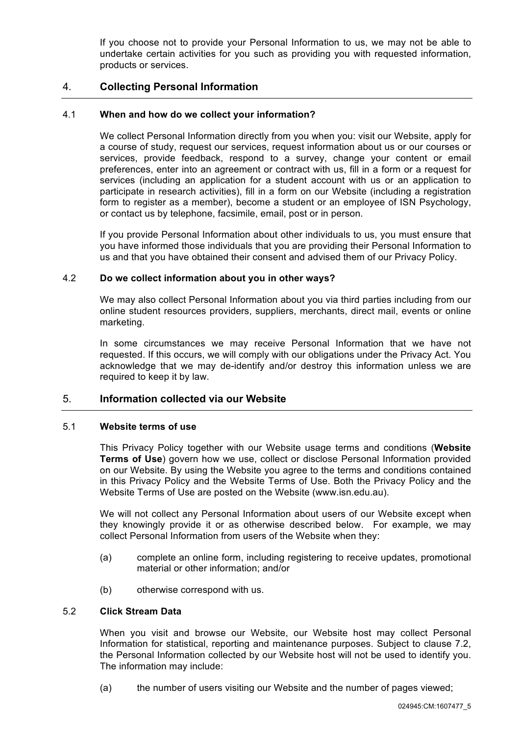If you choose not to provide your Personal Information to us, we may not be able to undertake certain activities for you such as providing you with requested information, products or services.

## 4. **Collecting Personal Information**

## 4.1 **When and how do we collect your information?**

We collect Personal Information directly from you when you: visit our Website, apply for a course of study, request our services, request information about us or our courses or services, provide feedback, respond to a survey, change your content or email preferences, enter into an agreement or contract with us, fill in a form or a request for services (including an application for a student account with us or an application to participate in research activities), fill in a form on our Website (including a registration form to register as a member), become a student or an employee of ISN Psychology, or contact us by telephone, facsimile, email, post or in person.

If you provide Personal Information about other individuals to us, you must ensure that you have informed those individuals that you are providing their Personal Information to us and that you have obtained their consent and advised them of our Privacy Policy.

### 4.2 **Do we collect information about you in other ways?**

We may also collect Personal Information about you via third parties including from our online student resources providers, suppliers, merchants, direct mail, events or online marketing.

In some circumstances we may receive Personal Information that we have not requested. If this occurs, we will comply with our obligations under the Privacy Act. You acknowledge that we may de-identify and/or destroy this information unless we are required to keep it by law.

# 5. **Information collected via our Website**

### 5.1 **Website terms of use**

This Privacy Policy together with our Website usage terms and conditions (**Website Terms of Use**) govern how we use, collect or disclose Personal Information provided on our Website. By using the Website you agree to the terms and conditions contained in this Privacy Policy and the Website Terms of Use. Both the Privacy Policy and the Website Terms of Use are posted on the Website (www.isn.edu.au).

We will not collect any Personal Information about users of our Website except when they knowingly provide it or as otherwise described below. For example, we may collect Personal Information from users of the Website when they:

- (a) complete an online form, including registering to receive updates, promotional material or other information; and/or
- (b) otherwise correspond with us.

### 5.2 **Click Stream Data**

When you visit and browse our Website, our Website host may collect Personal Information for statistical, reporting and maintenance purposes. Subject to clause 7.2, the Personal Information collected by our Website host will not be used to identify you. The information may include:

(a) the number of users visiting our Website and the number of pages viewed;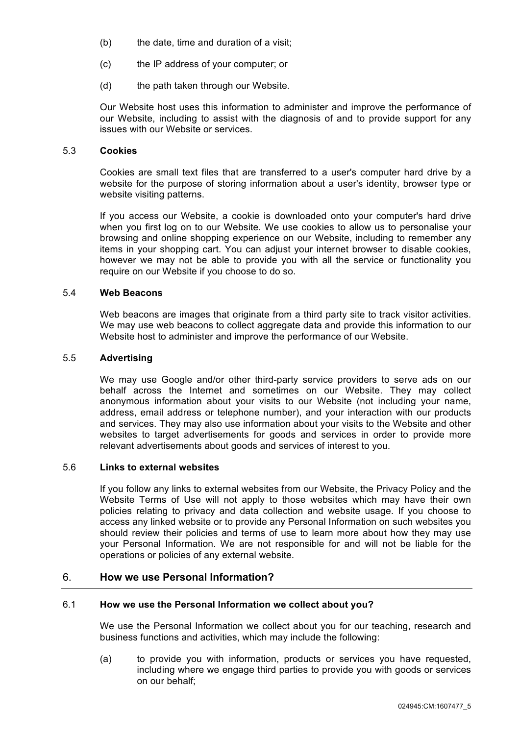- (b) the date, time and duration of a visit;
- (c) the IP address of your computer; or
- (d) the path taken through our Website.

Our Website host uses this information to administer and improve the performance of our Website, including to assist with the diagnosis of and to provide support for any issues with our Website or services.

# 5.3 **Cookies**

Cookies are small text files that are transferred to a user's computer hard drive by a website for the purpose of storing information about a user's identity, browser type or website visiting patterns.

If you access our Website, a cookie is downloaded onto your computer's hard drive when you first log on to our Website. We use cookies to allow us to personalise your browsing and online shopping experience on our Website, including to remember any items in your shopping cart. You can adjust your internet browser to disable cookies, however we may not be able to provide you with all the service or functionality you require on our Website if you choose to do so.

## 5.4 **Web Beacons**

Web beacons are images that originate from a third party site to track visitor activities. We may use web beacons to collect aggregate data and provide this information to our Website host to administer and improve the performance of our Website.

#### 5.5 **Advertising**

We may use Google and/or other third-party service providers to serve ads on our behalf across the Internet and sometimes on our Website. They may collect anonymous information about your visits to our Website (not including your name, address, email address or telephone number), and your interaction with our products and services. They may also use information about your visits to the Website and other websites to target advertisements for goods and services in order to provide more relevant advertisements about goods and services of interest to you.

#### 5.6 **Links to external websites**

If you follow any links to external websites from our Website, the Privacy Policy and the Website Terms of Use will not apply to those websites which may have their own policies relating to privacy and data collection and website usage. If you choose to access any linked website or to provide any Personal Information on such websites you should review their policies and terms of use to learn more about how they may use your Personal Information. We are not responsible for and will not be liable for the operations or policies of any external website.

# 6. **How we use Personal Information?**

### 6.1 **How we use the Personal Information we collect about you?**

We use the Personal Information we collect about you for our teaching, research and business functions and activities, which may include the following:

(a) to provide you with information, products or services you have requested, including where we engage third parties to provide you with goods or services on our behalf;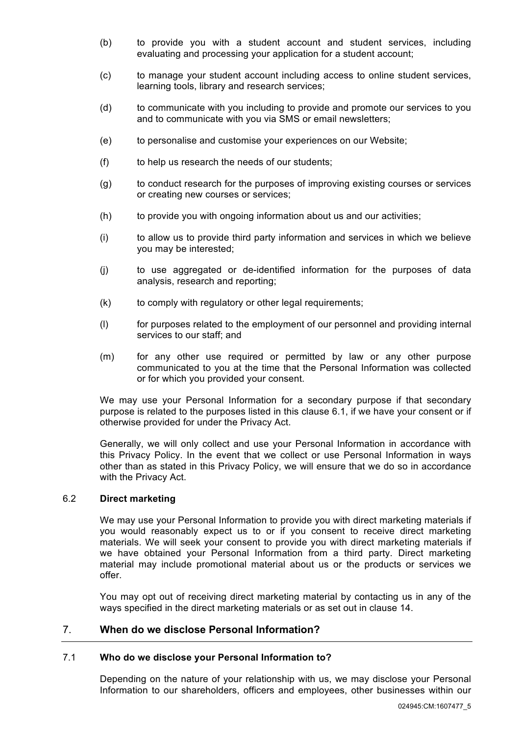- (b) to provide you with a student account and student services, including evaluating and processing your application for a student account;
- (c) to manage your student account including access to online student services, learning tools, library and research services;
- (d) to communicate with you including to provide and promote our services to you and to communicate with you via SMS or email newsletters;
- (e) to personalise and customise your experiences on our Website;
- (f) to help us research the needs of our students;
- (g) to conduct research for the purposes of improving existing courses or services or creating new courses or services;
- (h) to provide you with ongoing information about us and our activities;
- (i) to allow us to provide third party information and services in which we believe you may be interested;
- (j) to use aggregated or de-identified information for the purposes of data analysis, research and reporting;
- (k) to comply with regulatory or other legal requirements;
- (l) for purposes related to the employment of our personnel and providing internal services to our staff; and
- (m) for any other use required or permitted by law or any other purpose communicated to you at the time that the Personal Information was collected or for which you provided your consent.

We may use your Personal Information for a secondary purpose if that secondary purpose is related to the purposes listed in this clause 6.1, if we have your consent or if otherwise provided for under the Privacy Act.

Generally, we will only collect and use your Personal Information in accordance with this Privacy Policy. In the event that we collect or use Personal Information in ways other than as stated in this Privacy Policy, we will ensure that we do so in accordance with the Privacy Act.

### 6.2 **Direct marketing**

We may use your Personal Information to provide you with direct marketing materials if you would reasonably expect us to or if you consent to receive direct marketing materials. We will seek your consent to provide you with direct marketing materials if we have obtained your Personal Information from a third party. Direct marketing material may include promotional material about us or the products or services we offer.

You may opt out of receiving direct marketing material by contacting us in any of the ways specified in the direct marketing materials or as set out in clause 14.

## 7. **When do we disclose Personal Information?**

### 7.1 **Who do we disclose your Personal Information to?**

Depending on the nature of your relationship with us, we may disclose your Personal Information to our shareholders, officers and employees, other businesses within our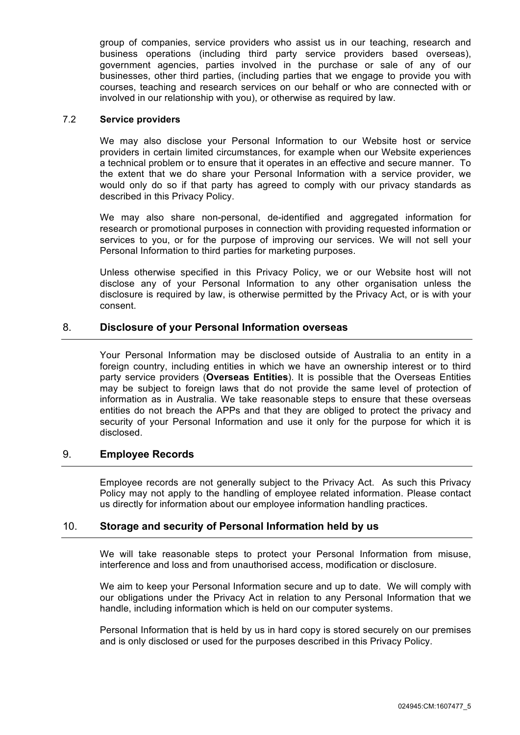group of companies, service providers who assist us in our teaching, research and business operations (including third party service providers based overseas), government agencies, parties involved in the purchase or sale of any of our businesses, other third parties, (including parties that we engage to provide you with courses, teaching and research services on our behalf or who are connected with or involved in our relationship with you), or otherwise as required by law.

### 7.2 **Service providers**

We may also disclose your Personal Information to our Website host or service providers in certain limited circumstances, for example when our Website experiences a technical problem or to ensure that it operates in an effective and secure manner. To the extent that we do share your Personal Information with a service provider, we would only do so if that party has agreed to comply with our privacy standards as described in this Privacy Policy.

We may also share non-personal, de-identified and aggregated information for research or promotional purposes in connection with providing requested information or services to you, or for the purpose of improving our services. We will not sell your Personal Information to third parties for marketing purposes.

Unless otherwise specified in this Privacy Policy, we or our Website host will not disclose any of your Personal Information to any other organisation unless the disclosure is required by law, is otherwise permitted by the Privacy Act, or is with your consent.

# 8. **Disclosure of your Personal Information overseas**

Your Personal Information may be disclosed outside of Australia to an entity in a foreign country, including entities in which we have an ownership interest or to third party service providers (**Overseas Entities**). It is possible that the Overseas Entities may be subject to foreign laws that do not provide the same level of protection of information as in Australia. We take reasonable steps to ensure that these overseas entities do not breach the APPs and that they are obliged to protect the privacy and security of your Personal Information and use it only for the purpose for which it is disclosed.

## 9. **Employee Records**

Employee records are not generally subject to the Privacy Act. As such this Privacy Policy may not apply to the handling of employee related information. Please contact us directly for information about our employee information handling practices.

## 10. **Storage and security of Personal Information held by us**

We will take reasonable steps to protect your Personal Information from misuse, interference and loss and from unauthorised access, modification or disclosure.

We aim to keep your Personal Information secure and up to date. We will comply with our obligations under the Privacy Act in relation to any Personal Information that we handle, including information which is held on our computer systems.

Personal Information that is held by us in hard copy is stored securely on our premises and is only disclosed or used for the purposes described in this Privacy Policy.